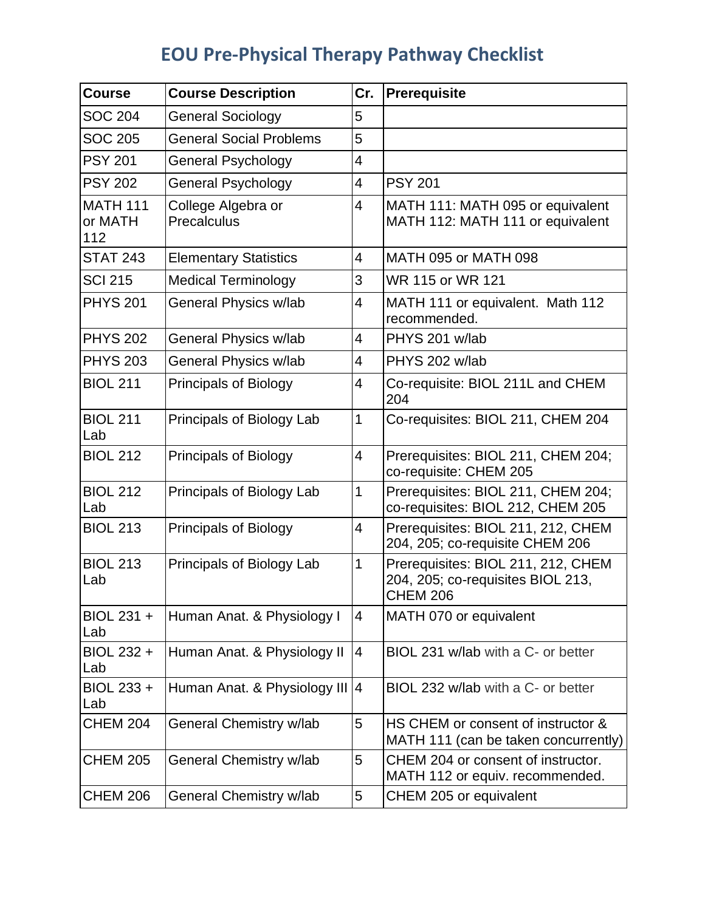## **EOU Pre-Physical Therapy Pathway Checklist**

| <b>Course</b>                     | <b>Course Description</b>         | Cr.            | Prerequisite                                                                               |
|-----------------------------------|-----------------------------------|----------------|--------------------------------------------------------------------------------------------|
| <b>SOC 204</b>                    | <b>General Sociology</b>          | 5              |                                                                                            |
| <b>SOC 205</b>                    | <b>General Social Problems</b>    | 5              |                                                                                            |
| <b>PSY 201</b>                    | <b>General Psychology</b>         | 4              |                                                                                            |
| <b>PSY 202</b>                    | <b>General Psychology</b>         | 4              | <b>PSY 201</b>                                                                             |
| <b>MATH 111</b><br>or MATH<br>112 | College Algebra or<br>Precalculus | 4              | MATH 111: MATH 095 or equivalent<br>MATH 112: MATH 111 or equivalent                       |
| <b>STAT 243</b>                   | <b>Elementary Statistics</b>      | 4              | MATH 095 or MATH 098                                                                       |
| <b>SCI 215</b>                    | <b>Medical Terminology</b>        | 3              | WR 115 or WR 121                                                                           |
| <b>PHYS 201</b>                   | General Physics w/lab             | 4              | MATH 111 or equivalent. Math 112<br>recommended.                                           |
| <b>PHYS 202</b>                   | General Physics w/lab             | $\overline{4}$ | PHYS 201 w/lab                                                                             |
| <b>PHYS 203</b>                   | General Physics w/lab             | 4              | PHYS 202 w/lab                                                                             |
| <b>BIOL 211</b>                   | <b>Principals of Biology</b>      | 4              | Co-requisite: BIOL 211L and CHEM<br>204                                                    |
| <b>BIOL 211</b><br>Lab            | Principals of Biology Lab         | 1              | Co-requisites: BIOL 211, CHEM 204                                                          |
| <b>BIOL 212</b>                   | <b>Principals of Biology</b>      | $\overline{4}$ | Prerequisites: BIOL 211, CHEM 204;<br>co-requisite: CHEM 205                               |
| <b>BIOL 212</b><br>Lab            | Principals of Biology Lab         | 1              | Prerequisites: BIOL 211, CHEM 204;<br>co-requisites: BIOL 212, CHEM 205                    |
| <b>BIOL 213</b>                   | <b>Principals of Biology</b>      | $\overline{4}$ | Prerequisites: BIOL 211, 212, CHEM<br>204, 205; co-requisite CHEM 206                      |
| <b>BIOL 213</b><br>Lab            | Principals of Biology Lab         | 1              | Prerequisites: BIOL 211, 212, CHEM<br>204, 205; co-requisites BIOL 213,<br><b>CHEM 206</b> |
| BIOL 231 +<br>Lab                 | Human Anat. & Physiology I        | 4              | MATH 070 or equivalent                                                                     |
| BIOL 232 +<br>Lab                 | Human Anat. & Physiology II       | 4              | BIOL 231 w/lab with a C- or better                                                         |
| BIOL 233 +<br>Lab                 | Human Anat. & Physiology III 4    |                | BIOL 232 w/lab with a C- or better                                                         |
| <b>CHEM 204</b>                   | General Chemistry w/lab           | 5              | HS CHEM or consent of instructor &<br>MATH 111 (can be taken concurrently)                 |
| <b>CHEM 205</b>                   | General Chemistry w/lab           | 5              | CHEM 204 or consent of instructor.<br>MATH 112 or equiv. recommended.                      |
| <b>CHEM 206</b>                   | General Chemistry w/lab           | 5              | CHEM 205 or equivalent                                                                     |